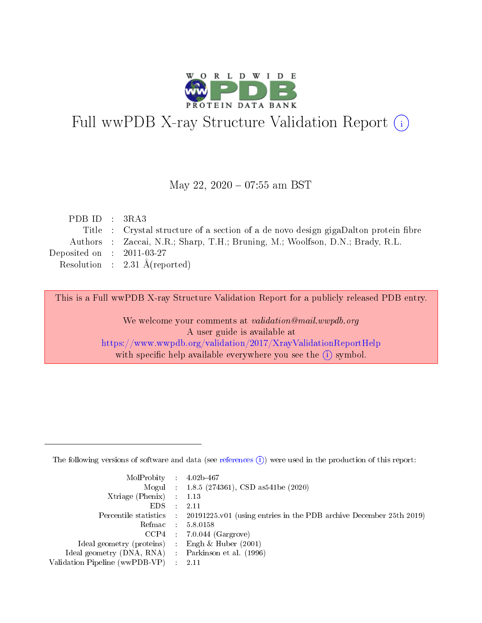

# Full wwPDB X-ray Structure Validation Report (i)

#### May 22, 2020 - 07:55 am BST

| PDB ID : $3RA3$             |                                                                                     |
|-----------------------------|-------------------------------------------------------------------------------------|
|                             | Title : Crystal structure of a section of a de novo design gigaDalton protein fibre |
|                             | Authors : Zaccai, N.R.; Sharp, T.H.; Bruning, M.; Woolfson, D.N.; Brady, R.L.       |
| Deposited on : $2011-03-27$ |                                                                                     |
|                             | Resolution : $2.31 \text{ Å}$ (reported)                                            |
|                             |                                                                                     |

This is a Full wwPDB X-ray Structure Validation Report for a publicly released PDB entry.

We welcome your comments at validation@mail.wwpdb.org A user guide is available at <https://www.wwpdb.org/validation/2017/XrayValidationReportHelp> with specific help available everywhere you see the  $(i)$  symbol.

The following versions of software and data (see [references](https://www.wwpdb.org/validation/2017/XrayValidationReportHelp#references)  $(1)$ ) were used in the production of this report:

| MolProbity : $4.02b-467$                            |                                                                                            |
|-----------------------------------------------------|--------------------------------------------------------------------------------------------|
|                                                     | Mogul : $1.8.5$ (274361), CSD as 541be (2020)                                              |
| $Xtriangle (Phenix)$ : 1.13                         |                                                                                            |
| $EDS$ :                                             | -2.11                                                                                      |
|                                                     | Percentile statistics : 20191225.v01 (using entries in the PDB archive December 25th 2019) |
| Refmac : 5.8.0158                                   |                                                                                            |
|                                                     | $CCP4$ 7.0.044 (Gargrove)                                                                  |
| Ideal geometry (proteins) : Engh $\&$ Huber (2001)  |                                                                                            |
| Ideal geometry (DNA, RNA) : Parkinson et al. (1996) |                                                                                            |
| Validation Pipeline (wwPDB-VP) : 2.11               |                                                                                            |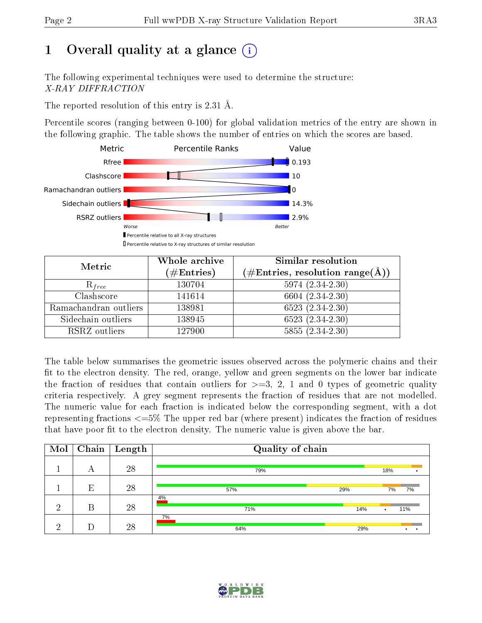# 1 [O](https://www.wwpdb.org/validation/2017/XrayValidationReportHelp#overall_quality)verall quality at a glance  $(i)$

The following experimental techniques were used to determine the structure: X-RAY DIFFRACTION

The reported resolution of this entry is 2.31 Å.

Percentile scores (ranging between 0-100) for global validation metrics of the entry are shown in the following graphic. The table shows the number of entries on which the scores are based.



| Metric                | Whole archive        | <b>Similar resolution</b>                                              |  |  |
|-----------------------|----------------------|------------------------------------------------------------------------|--|--|
|                       | $(\#\text{Entries})$ | $(\#\text{Entries},\,\text{resolution}\,\,\text{range}(\textup{\AA}))$ |  |  |
| $R_{free}$            | 130704               | $5974(2.34-2.30)$                                                      |  |  |
| Clashscore            | 141614               | 6604 $(2.34 - 2.30)$                                                   |  |  |
| Ramachandran outliers | 138981               | $6523(2.34-2.30)$                                                      |  |  |
| Sidechain outliers    | 138945               | $\overline{6523}$ $(2.34-2.30)$                                        |  |  |
| RSRZ outliers         | 127900               | $5855(2.34-2.30)$                                                      |  |  |

The table below summarises the geometric issues observed across the polymeric chains and their fit to the electron density. The red, orange, yellow and green segments on the lower bar indicate the fraction of residues that contain outliers for  $>=$  3, 2, 1 and 0 types of geometric quality criteria respectively. A grey segment represents the fraction of residues that are not modelled. The numeric value for each fraction is indicated below the corresponding segment, with a dot representing fractions  $\epsilon=5\%$  The upper red bar (where present) indicates the fraction of residues that have poor fit to the electron density. The numeric value is given above the bar.

| Mol | Chain | $\mid$ Length | Quality of chain |     |     |                        |
|-----|-------|---------------|------------------|-----|-----|------------------------|
|     | А     | 28            | 79%              |     | 18% |                        |
|     | E     | 28            | 57%              | 29% | 7%  | 7%                     |
| ച   | B     | 28            | 4%<br>71%        | 14% | ٠   | 11%                    |
| ച   | D     | 28            | 7%<br>64%        | 29% |     | $\bullet$<br>$\bullet$ |

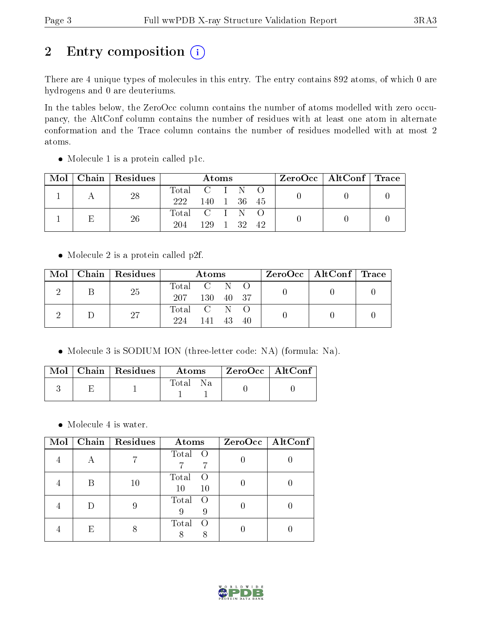# 2 Entry composition (i)

There are 4 unique types of molecules in this entry. The entry contains 892 atoms, of which 0 are hydrogens and 0 are deuteriums.

In the tables below, the ZeroOcc column contains the number of atoms modelled with zero occupancy, the AltConf column contains the number of residues with at least one atom in alternate conformation and the Trace column contains the number of residues modelled with at most 2 atoms.

| Mol |  | Chain   Residues | Atoms         |          |  |  |    | $\text{ZeroOcc}$   AltConf   Trace |  |
|-----|--|------------------|---------------|----------|--|--|----|------------------------------------|--|
|     |  | 28               | Total C I N O |          |  |  |    |                                    |  |
|     |  | 222              | 140 1 36 45   |          |  |  |    |                                    |  |
|     |  | 26               | Total C I N O |          |  |  |    |                                    |  |
|     |  |                  | 204           | 129 1 32 |  |  | 42 |                                    |  |

Molecule 1 is a protein called p1c.

• Molecule 2 is a protein called p2f.

| Mol |  | Chain   Residues | Atoms         |              |  |  | $\text{ZeroOcc} \mid \text{AltConf} \mid \text{Trace} \mid$ |  |  |
|-----|--|------------------|---------------|--------------|--|--|-------------------------------------------------------------|--|--|
|     |  | 25               | Total C N O   |              |  |  |                                                             |  |  |
|     |  |                  | 207 130 40 37 |              |  |  |                                                             |  |  |
|     |  | 27               | Total C N O   |              |  |  |                                                             |  |  |
|     |  |                  | 224           | $-141$ 43 40 |  |  |                                                             |  |  |

Molecule 3 is SODIUM ION (three-letter code: NA) (formula: Na).

|  | Mol   Chain   Residues | Atoms        | $\perp$ ZeroOcc $\parallel$ AltConf $\parallel$ |  |
|--|------------------------|--------------|-------------------------------------------------|--|
|  |                        | Fotal<br>-Na |                                                 |  |

• Molecule 4 is water.

| Mol |    | Chain   Residues | Atoms                             | $ZeroOcc$   AltConf |
|-----|----|------------------|-----------------------------------|---------------------|
|     |    |                  | Total O                           |                     |
|     |    | 10               | Total<br>$\left($<br>10<br>$10\,$ |                     |
|     |    |                  | Total<br>$\left($<br>9            |                     |
|     | H) |                  | Total<br>$\left( \right)$         |                     |

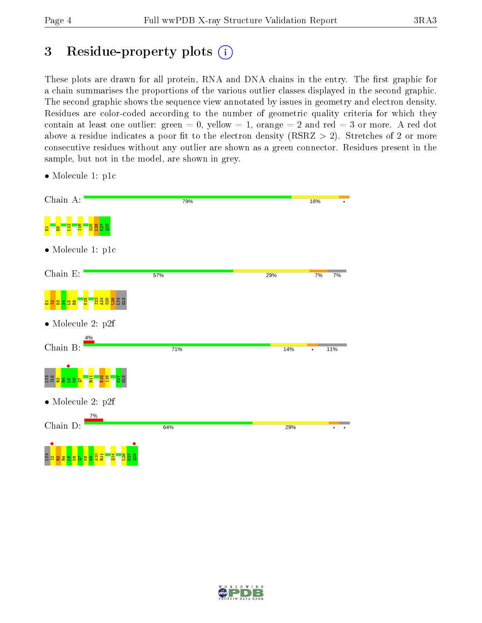# 3 Residue-property plots  $(i)$

These plots are drawn for all protein, RNA and DNA chains in the entry. The first graphic for a chain summarises the proportions of the various outlier classes displayed in the second graphic. The second graphic shows the sequence view annotated by issues in geometry and electron density. Residues are color-coded according to the number of geometric quality criteria for which they contain at least one outlier: green  $= 0$ , yellow  $= 1$ , orange  $= 2$  and red  $= 3$  or more. A red dot above a residue indicates a poor fit to the electron density (RSRZ  $> 2$ ). Stretches of 2 or more consecutive residues without any outlier are shown as a green connector. Residues present in the sample, but not in the model, are shown in grey.

| Chain A:                                                              | 79% |     | 18%      |
|-----------------------------------------------------------------------|-----|-----|----------|
| <mark>ន្លង</mark> ប្តូន<br><b>E16</b>                                 |     |     |          |
| $\bullet$ Molecule 1: p1c                                             |     |     |          |
| Chain $E$ :                                                           | 57% | 29% | 7%<br>7% |
| <mark>ដូងដូង</mark> ដូម្ន<br>6<br><mark>ន ឌ</mark><br>\$.             |     |     |          |
| $\bullet$ Molecule 2: p2f                                             |     |     |          |
| 4%<br>Chain B:                                                        | 71% | 14% | 11%      |
| <b>SXI</b><br>98<br>စ္ထာ<br>봁<br>룔<br>г                               |     |     |          |
| $\bullet$ Molecule 2: p2f                                             |     |     |          |
| 7%<br>Chain D:                                                        | 64% | 29% |          |
| <b>SAT</b><br>28<br>$\frac{4}{5}$<br>$\frac{9}{2}$ ង<br>Q<br>က္က<br>능 |     |     |          |

• Molecule 1: p1c

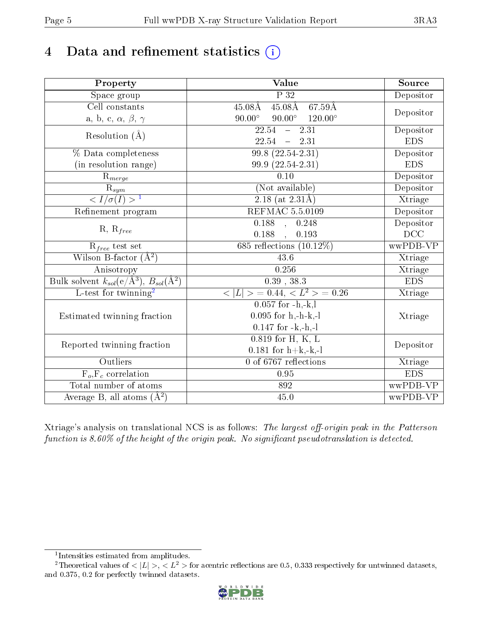# 4 Data and refinement statistics  $(i)$

| Property                                                         | $\overline{\text{Value}}$                                   | Source     |
|------------------------------------------------------------------|-------------------------------------------------------------|------------|
| Space group                                                      | $\overline{P}32$                                            | Depositor  |
| Cell constants                                                   | $45.08\text{\AA}$<br>$67.59\text{\AA}$<br>$45.08\text{\AA}$ | Depositor  |
| a, b, c, $\alpha,\,\beta,\,\gamma$                               | $90.00^\circ$<br>$90.00^{\circ}$ $120.00^{\circ}$           |            |
| Resolution $(A)$                                                 | $\overline{22.54}$<br>$\frac{-}{2}$ 2.31                    | Depositor  |
|                                                                  | $22.54 - 2.31$                                              | <b>EDS</b> |
| % Data completeness                                              | $99.8(22.54-2.31)$                                          | Depositor  |
| (in resolution range)                                            | 99.9 (22.54-2.31)                                           | <b>EDS</b> |
| $R_{merge}$                                                      | 0.10                                                        | Depositor  |
| $\frac{R_{sym}}{{}1}$                                            | (Not available)                                             | Depositor  |
|                                                                  | 2.18 (at $2.31\text{\AA})$                                  | Xtriage    |
| Refinement program                                               | <b>REFMAC 5.5.0109</b>                                      | Depositor  |
|                                                                  | $0.188$ , $0.248$                                           | Depositor  |
| $R, R_{free}$                                                    | 0.188<br>0.193<br>$\ddot{\phantom{1}}$                      | DCC        |
| $R_{free}$ test set                                              | 685 reflections $(10.12\%)$                                 | wwPDB-VP   |
| Wilson B-factor $(A^2)$                                          | 43.6                                                        | Xtriage    |
| Anisotropy                                                       | 0.256                                                       | Xtriage    |
| Bulk solvent $k_{sol}(\text{e}/\text{Å}^3), B_{sol}(\text{Å}^2)$ | 0.39, 38.3                                                  | EDS        |
| L-test for twinning <sup>2</sup>                                 | $< L >$ = 0.44, $< L2$ = 0.26                               | Xtriage    |
|                                                                  | $0.057$ for $-h,-k,l$                                       |            |
| Estimated twinning fraction                                      | $0.095$ for $h,-h-k,-l$                                     | Xtriage    |
|                                                                  | $0.147$ for $-k,-h,-l$                                      |            |
|                                                                  | $0.819$ for H, K, L                                         |            |
| Reported twinning fraction                                       | $0.181$ for $h+k,-k,-l$                                     | Depositor  |
| Outliers                                                         | 0 of 6767 reflections                                       | Xtriage    |
| $F_o, F_c$ correlation                                           | 0.95                                                        | <b>EDS</b> |
| Total number of atoms                                            | 892                                                         | wwPDB-VP   |
| Average B, all atoms $(A^2)$                                     | 45.0                                                        | wwPDB-VP   |

Xtriage's analysis on translational NCS is as follows: The largest off-origin peak in the Patterson function is  $8.60\%$  of the height of the origin peak. No significant pseudotranslation is detected.

<sup>&</sup>lt;sup>2</sup>Theoretical values of  $\langle |L| \rangle$ ,  $\langle L^2 \rangle$  for acentric reflections are 0.5, 0.333 respectively for untwinned datasets, and 0.375, 0.2 for perfectly twinned datasets.



<span id="page-4-1"></span><span id="page-4-0"></span><sup>1</sup> Intensities estimated from amplitudes.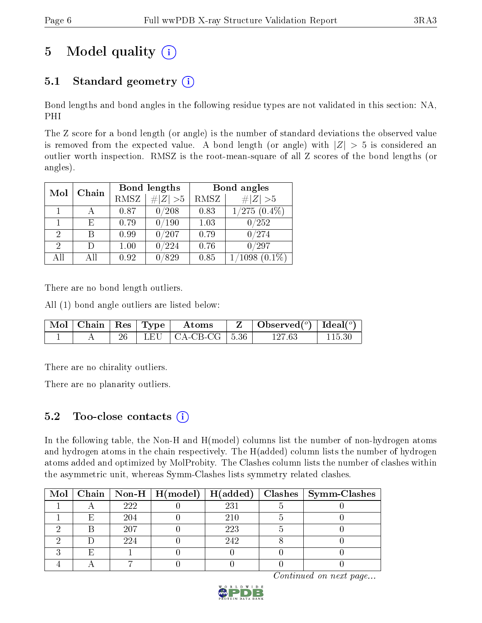# 5 Model quality  $(i)$

# 5.1 Standard geometry  $(i)$

Bond lengths and bond angles in the following residue types are not validated in this section: NA, PHI

The Z score for a bond length (or angle) is the number of standard deviations the observed value is removed from the expected value. A bond length (or angle) with  $|Z| > 5$  is considered an outlier worth inspection. RMSZ is the root-mean-square of all Z scores of the bond lengths (or angles).

| Mol | Chain |      | Bond lengths   | Bond angles |                              |  |
|-----|-------|------|----------------|-------------|------------------------------|--|
|     |       | RMSZ | $\# Z  > 5$    | RMSZ        | # $ Z >5$                    |  |
|     |       | 0.87 | 0/208          | 0.83        | $1/275$ $(0.4\%)$            |  |
|     | F)    | 0.79 | $^{\prime}190$ | 1.03        | 0/252                        |  |
| 2   | В     | 0.99 | /207           | 0.79        | 0/274                        |  |
| 2   | Ð     | 1.00 | $^{\prime}224$ | 0.76        | 0/297                        |  |
| All | ΑH    | 0.92 | 829            | 0.85        | $^{\prime}1098$<br>$(0.1\%)$ |  |

There are no bond length outliers.

All (1) bond angle outliers are listed below:

|  |  | $\vert$ Mol $\vert$ Chain $\vert$ Res $\vert$ Type $\vert$ Atoms | $\vert$ Observed $(^\circ)$ $\vert$ Ideal $(^\circ)$ |  |
|--|--|------------------------------------------------------------------|------------------------------------------------------|--|
|  |  | LEU   CA-CB-CG   5.36                                            | 127 63                                               |  |

There are no chirality outliers.

There are no planarity outliers.

## 5.2 Too-close contacts  $(i)$

In the following table, the Non-H and H(model) columns list the number of non-hydrogen atoms and hydrogen atoms in the chain respectively. The H(added) column lists the number of hydrogen atoms added and optimized by MolProbity. The Clashes column lists the number of clashes within the asymmetric unit, whereas Symm-Clashes lists symmetry related clashes.

|  |     |     | Mol   Chain   Non-H   H(model)   H(added)   Clashes   Symm-Clashes |
|--|-----|-----|--------------------------------------------------------------------|
|  | 222 | 231 |                                                                    |
|  | 204 | 210 |                                                                    |
|  | 207 | 223 |                                                                    |
|  | 224 | 242 |                                                                    |
|  |     |     |                                                                    |
|  |     |     |                                                                    |

Continued on next page...

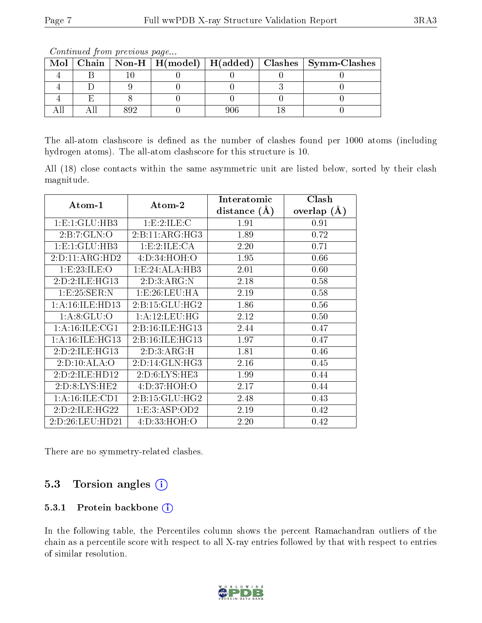| Mol |  |  | Chain   Non-H   H(model)   H(added)   Clashes   Symm-Clashes |
|-----|--|--|--------------------------------------------------------------|
|     |  |  |                                                              |
|     |  |  |                                                              |
|     |  |  |                                                              |
|     |  |  |                                                              |

Continued from previous page...

The all-atom clashscore is defined as the number of clashes found per 1000 atoms (including hydrogen atoms). The all-atom clashscore for this structure is 10.

All (18) close contacts within the same asymmetric unit are listed below, sorted by their clash magnitude.

|                    |                    | Interatomic      | Clash         |  |
|--------------------|--------------------|------------------|---------------|--|
| Atom-1             | Atom-2             | distance $(\AA)$ | overlap $(A)$ |  |
| 1: E: 1: GLU: HB3  | 1: E: 2: ILE:C     | 1.91             | 0.91          |  |
| 2:B:7:GLN:O        | 2:B:11:ARG:HG3     | 1.89             | 0.72          |  |
| 1:E:1:GLU:HB3      | 1: E:2: ILE: CA    | 2.20             | 0.71          |  |
| 2:D:11:ARG:HD2     | 4:D:34:HOH:O       | 1.95             | 0.66          |  |
| 1:E:23:ILE:O       | 1:E:24:ALA:HB3     | 2.01             | 0.60          |  |
| 2:D:2:ILE:HG13     | 2:D:3:ARG:N        | 2.18             | 0.58          |  |
| 1:E:25:SER:N       | 1:E:26:LEU:HA      | 2.19             | 0.58          |  |
| 1: A:16: ILE: HD13 | 2: B:15: GLU: HG2  | 1.86             | 0.56          |  |
| 1: A:8: GLU:O      | 1: A:12:LEU:HG     | 2.12             | 0.50          |  |
| 1: A: 16: ILE: CG1 | 2:B:16:ILE:HG13    | 2.44             | 0.47          |  |
| 1: A:16: ILE: HG13 | 2:B:16:ILE:HG13    | 1.97             | 0.47          |  |
| 2:D:2:ILE:HG13     | 2:D:3:ARG:H        | 1.81             | 0.46          |  |
| 2:D:10:ALA:O       | 2:D:14:GLN:HG3     | 2.16             | 0.45          |  |
| 2:D:2:ILE:HD12     | 2: D:6: LYS: HE3   | 1.99             | 0.44          |  |
| 2: D: 8: LYS: HE2  | 4: D: 37: HOH: O   | 2.17             | 0.44          |  |
| 1: A: 16: ILE: CD1 | 2: B: 15: GLU: HG2 | 2.48             | 0.43          |  |
| 2:D:2:ILE:HG22     | 1: E: 3: ASP: OD2  | 2.19             | 0.42          |  |
| 2:D:26:LEU:HD21    | 4:D:33:HOH:O       | 2.20             | 0.42          |  |

There are no symmetry-related clashes.

### 5.3 Torsion angles (i)

#### 5.3.1 Protein backbone (i)

In the following table, the Percentiles column shows the percent Ramachandran outliers of the chain as a percentile score with respect to all X-ray entries followed by that with respect to entries of similar resolution.

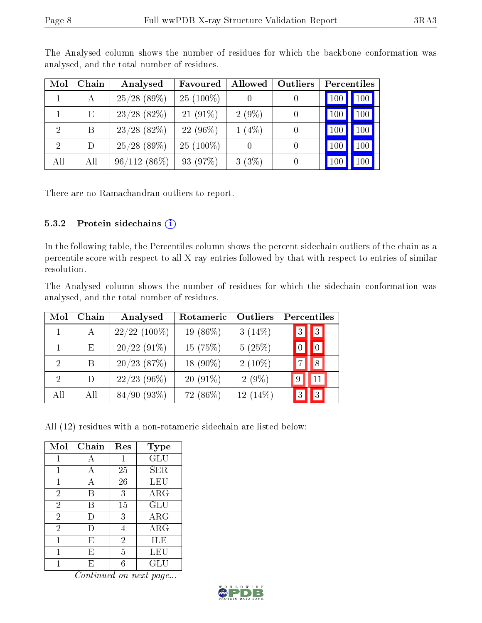| Mol            | Chain | Analysed       | Favoured    | Allowed  | Outliers       | Percentiles |            |
|----------------|-------|----------------|-------------|----------|----------------|-------------|------------|
|                | А     | $25/28$ (89\%) | $25(100\%)$ |          |                | <b>100</b>  | 100        |
|                | Ε     | $23/28$ (82\%) | $21(91\%)$  | $2(9\%)$ | $\overline{0}$ | 100         | $100 \mid$ |
| $\overline{2}$ | B     | $23/28$ (82\%) | $22(96\%)$  | $1(4\%)$ |                | 100         | 100        |
| $\overline{2}$ | D     | $25/28$ (89\%) | $25(100\%)$ |          |                | 100         | 100        |
| All            | All   | 96/112(86%)    | 93 (97%)    | $3(3\%)$ |                | 100         | 100        |

The Analysed column shows the number of residues for which the backbone conformation was analysed, and the total number of residues.

There are no Ramachandran outliers to report.

#### 5.3.2 Protein sidechains (i)

In the following table, the Percentiles column shows the percent sidechain outliers of the chain as a percentile score with respect to all X-ray entries followed by that with respect to entries of similar resolution.

The Analysed column shows the number of residues for which the sidechain conformation was analysed, and the total number of residues.

| Mol                         | Chain         | Analysed       | Rotameric   | Outliers   |   | Percentiles |  |
|-----------------------------|---------------|----------------|-------------|------------|---|-------------|--|
|                             | А             | $22/22$ (100%) | 19 $(86\%)$ | $3(14\%)$  | 3 | $ 3\rangle$ |  |
|                             | Ε             | $20/22(91\%)$  | 15(75%)     | 5(25%)     |   |             |  |
| $\mathcal{D}_{\mathcal{L}}$ | B             | $20/23$ (87%)  | 18 (90%)    | $2(10\%)$  |   | 8           |  |
| 2                           | $\mathcal{D}$ | $22/23$ (96\%) | $20(91\%)$  | $2(9\%)$   |   | 11          |  |
| All                         | All           | 84/90(93%)     | 72 (86%)    | $12(14\%)$ |   | 3           |  |

All (12) residues with a non-rotameric sidechain are listed below:

| Mol            | Chain  | Res            | Type       |
|----------------|--------|----------------|------------|
| 1              | А      | 1              | GLU        |
| 1              | A      | 25             | SER        |
| 1              | А      | 26             | LEU        |
| $\overline{2}$ | B      | 3              | ARG        |
| $\overline{2}$ | B      | 15             | GLU        |
| $\overline{2}$ | D      | 3              | $\rm{ARG}$ |
| $\overline{2}$ | $\Box$ | 4              | ARG        |
|                | Е      | $\overline{2}$ | ILE        |
| 1              | Ε      | 5              | LEU        |
|                | F,     |                | GLU        |

Continued on next page...

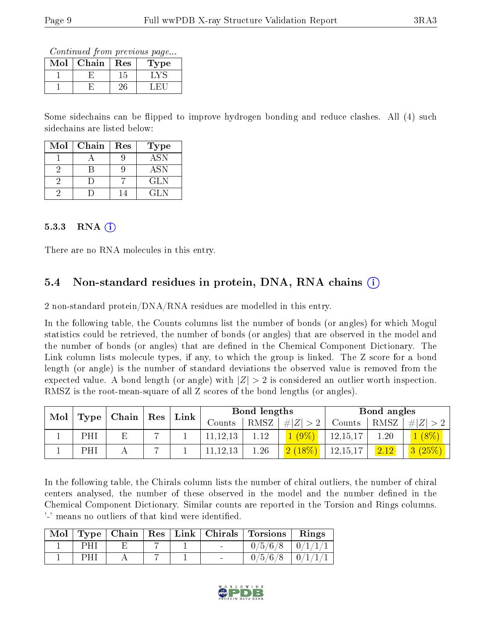Continued from previous page...

| Mol | Chain | Res | Type |
|-----|-------|-----|------|
|     |       | . r |      |
|     |       |     |      |

Some sidechains can be flipped to improve hydrogen bonding and reduce clashes. All (4) such sidechains are listed below:

| Mol | Chain | Res | <b>Type</b> |
|-----|-------|-----|-------------|
|     |       |     | <b>ASN</b>  |
|     |       |     | <b>ASN</b>  |
|     |       |     | GL N        |
|     |       |     | GL N        |

#### $5.3.3$  RNA  $(i)$

There are no RNA molecules in this entry.

### 5.4 Non-standard residues in protein, DNA, RNA chains (i)

2 non-standard protein/DNA/RNA residues are modelled in this entry.

In the following table, the Counts columns list the number of bonds (or angles) for which Mogul statistics could be retrieved, the number of bonds (or angles) that are observed in the model and the number of bonds (or angles) that are dened in the Chemical Component Dictionary. The Link column lists molecule types, if any, to which the group is linked. The Z score for a bond length (or angle) is the number of standard deviations the observed value is removed from the expected value. A bond length (or angle) with  $|Z| > 2$  is considered an outlier worth inspection. RMSZ is the root-mean-square of all Z scores of the bond lengths (or angles).

| Mol | $\perp$ Chain $\perp$<br>Type |    | $\perp$ Res | Link | Bond lengths |          |                | Bond angles |               |                             |
|-----|-------------------------------|----|-------------|------|--------------|----------|----------------|-------------|---------------|-----------------------------|
|     |                               |    |             |      | Counts       | RMSZ     | # $ Z  > 2$    | Counts      | RMSZ          | # Z                         |
|     | PHI                           | F. |             |      | 11, 12, 13   | 1.12     | $\sqrt{(9\%)}$ | 12,15,17    | $1.20^{-}$    | $(8\%)$                     |
|     | PHI                           |    |             |      | 11, 12, 13   | $1.26\,$ | $2(18\%)$      | 12,15,17    | $\sqrt{2.12}$ | $(25\%),$<br>3 <sup>1</sup> |

In the following table, the Chirals column lists the number of chiral outliers, the number of chiral centers analysed, the number of these observed in the model and the number defined in the Chemical Component Dictionary. Similar counts are reported in the Torsion and Rings columns. '-' means no outliers of that kind were identified.

| $\bf{Mol}$ |     |  |  | Type   Chain   Res   Link   Chirals   Torsions   Rings |                       |
|------------|-----|--|--|--------------------------------------------------------|-----------------------|
|            | PHI |  |  | $0/5/6/8$   $0/1/1/1$                                  |                       |
|            |     |  |  | 0/5/6/8                                                | $\frac{1}{2}$ 0/1/1/1 |

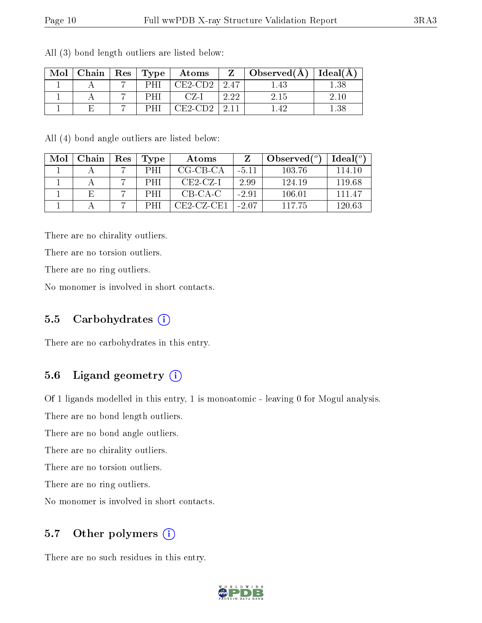| Mol | Chain   Res   Type |     | $\boldsymbol{\mathrm{Atoms}}$ |         | Observed $(A)$ | $ $ Ideal( $A$ ) |
|-----|--------------------|-----|-------------------------------|---------|----------------|------------------|
|     |                    | PHI | CE2-CD2                       | $+2.47$ | .43            | $1.38\,$         |
|     |                    | н   |                               | 2.22    | 2.15           | 2.10             |
|     |                    | DН. | 11E2-CD2-                     |         | -42            | 1.38             |

All (3) bond length outliers are listed below:

All (4) bond angle outliers are listed below:

| Mol | Chain | Res | Type       | Atoms        |         | Observed $(°)$ | $Ideal(^{\circ})$ |
|-----|-------|-----|------------|--------------|---------|----------------|-------------------|
|     |       |     | PHI        | CG-CB-CA     | $-5.11$ | 103.76         | 114.10            |
|     |       |     | <b>PHI</b> | $CE2-CZ-I$   | 2.99    | 124.19         | 119.68            |
|     |       |     | <b>PHI</b> | CB-CA-C      | $-2.91$ | 106.01         | 111 47            |
|     |       |     |            | $CE2-CZ-CE1$ | $-2.07$ | 117 75         | 120.63            |

There are no chirality outliers.

There are no torsion outliers.

There are no ring outliers.

No monomer is involved in short contacts.

#### 5.5 Carbohydrates  $(i)$

There are no carbohydrates in this entry.

### 5.6 Ligand geometry  $(i)$

Of 1 ligands modelled in this entry, 1 is monoatomic - leaving 0 for Mogul analysis.

There are no bond length outliers.

There are no bond angle outliers.

There are no chirality outliers.

There are no torsion outliers.

There are no ring outliers.

No monomer is involved in short contacts.

### 5.7 [O](https://www.wwpdb.org/validation/2017/XrayValidationReportHelp#nonstandard_residues_and_ligands)ther polymers (i)

There are no such residues in this entry.

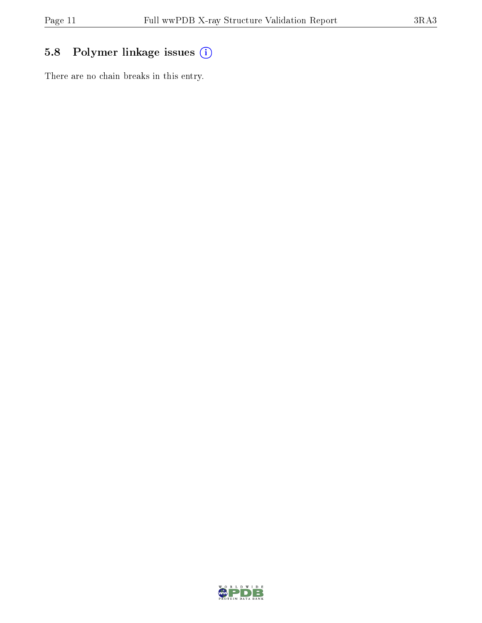# 5.8 Polymer linkage issues (i)

There are no chain breaks in this entry.

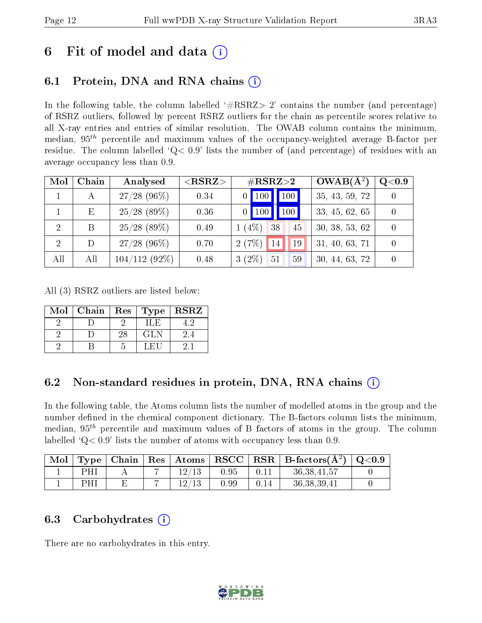# 6 Fit of model and data  $(i)$

# 6.1 Protein, DNA and RNA chains (i)

In the following table, the column labelled  $#RSRZ> 2'$  contains the number (and percentage) of RSRZ outliers, followed by percent RSRZ outliers for the chain as percentile scores relative to all X-ray entries and entries of similar resolution. The OWAB column contains the minimum, median,  $95<sup>th</sup>$  percentile and maximum values of the occupancy-weighted average B-factor per residue. The column labelled ' $Q< 0.9$ ' lists the number of (and percentage) of residues with an average occupancy less than 0.9.

| Mol | Chain | Analysed        | ${ <\hspace{-1.5pt}{\mathrm{RSRZ}} \hspace{-1.5pt}>}$ | $\#\text{RSRZ}\text{>2}$        | $OWAB(A^2)$    | Q <sub>0.9</sub> |
|-----|-------|-----------------|-------------------------------------------------------|---------------------------------|----------------|------------------|
|     | А     | $27/28$ (96\%)  | 0.34                                                  | 100<br>$0$   100                | 35, 43, 59, 72 |                  |
|     | Ε     | $25/28$ (89%)   | 0.36                                                  | $\blacksquare$ 100<br>$0$   100 | 33, 45, 62, 65 |                  |
| 2   | B     | $25/28$ (89\%)  | 0.49                                                  | $1(4\%)$<br>38<br>45            | 30, 38, 53, 62 |                  |
| 2   | D     | $27/28$ (96\%)  | 0.70                                                  | 2(7%)<br>14<br>19               | 31, 40, 63, 71 |                  |
| All | All   | $104/112(92\%)$ | 0.48                                                  | $3(2\%)$ 51<br>59               | 30, 44, 63, 72 |                  |

All (3) RSRZ outliers are listed below:

| Mol | Chain | Res | Type ' | <b>RSRZ</b> |
|-----|-------|-----|--------|-------------|
|     |       |     | H.E    |             |
|     |       | 28  | GLN    | $2.4\,$     |
|     |       |     | . F.L  |             |

## 6.2 Non-standard residues in protein, DNA, RNA chains  $(i)$

In the following table, the Atoms column lists the number of modelled atoms in the group and the number defined in the chemical component dictionary. The B-factors column lists the minimum, median,  $95<sup>th</sup>$  percentile and maximum values of B factors of atoms in the group. The column labelled  $Q<sub>0.9</sub>$  lists the number of atoms with occupancy less than 0.9.

| Mol |     | ' Type   Chain |   |       |      |      | $\mid$ Res $\mid$ Atoms $\mid$ RSCC $\mid$ RSR $\mid$ B-factors( $A^2$ ) | $\,$ Q $<$ 0.9 $\,$ |
|-----|-----|----------------|---|-------|------|------|--------------------------------------------------------------------------|---------------------|
|     | PH. |                | - | 12/13 | 0.95 |      | 36, 38, 41, 57                                                           |                     |
|     | PH. |                |   | 19/12 | 0.99 | 0.14 | 36, 38, 39, 41                                                           |                     |

### 6.3 Carbohydrates  $(i)$

There are no carbohydrates in this entry.